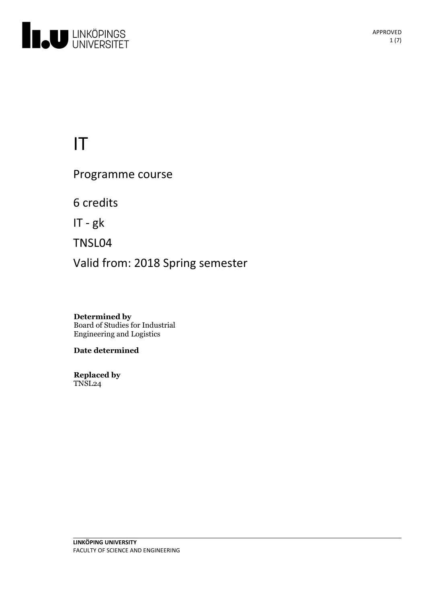

# IT

Programme course

6 credits

IT-gk

TNSL04

Valid from: 2018 Spring semester

**Determined by** Board of Studies for Industrial Engineering and Logistics

**Date determined**

**Replaced by** TNSL24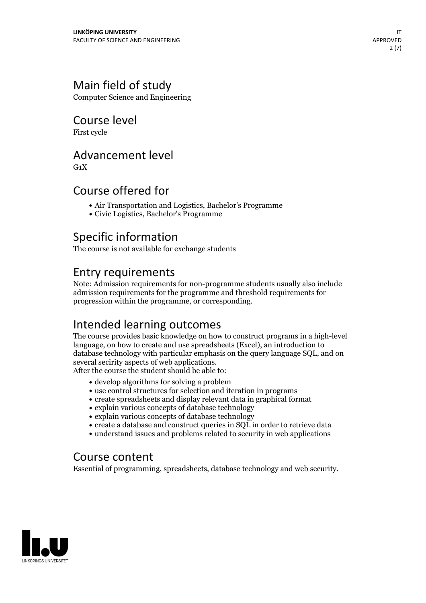# Main field of study

Computer Science and Engineering

# Course level

First cycle

### Advancement level

 $G_1X$ 

### Course offered for

- Air Transportation and Logistics, Bachelor's Programme
- Civic Logistics, Bachelor's Programme

# Specific information

The course is not available for exchange students

# Entry requirements

Note: Admission requirements for non-programme students usually also include admission requirements for the programme and threshold requirements for progression within the programme, or corresponding.

# Intended learning outcomes

The course provides basic knowledge on how to construct programs in a high-level language, on how to create and use spreadsheets (Excel), an introduction to database technology with particular emphasis on the query language SQL, and on several secirity aspects of web applications. After the course the student should be able to:

- develop algorithms for solving a problem
- use control structures for selection and iteration in programs
- create spreadsheets and display relevant data in graphical format
- explain various concepts of database technology
- explain various concepts of database technology
- create a database and construct queries in SQL in order to retrieve data
- understand issues and problems related to security in web applications

### Course content

Essential of programming, spreadsheets, database technology and web security.

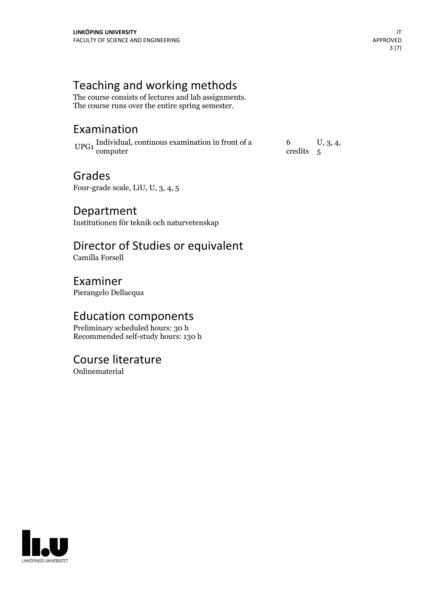# Teaching and working methods

The course consists of lectures and lab assignments. The course runs over the entire spring semester.

# Examination

UPG1 Individual, continous examination in front of a computer

6 credits  $U, 3, 4,$ 

### Grades

Four-grade scale, LiU, U, 3, 4, 5

Department Institutionen för teknik och naturvetenskap

# Director of Studies or equivalent

Camilla Forsell

Examiner Pierangelo Dellacqua

### Education components

Preliminary scheduled hours: 30 h Recommended self-study hours: 130 h

### Course literature

Onlinematerial

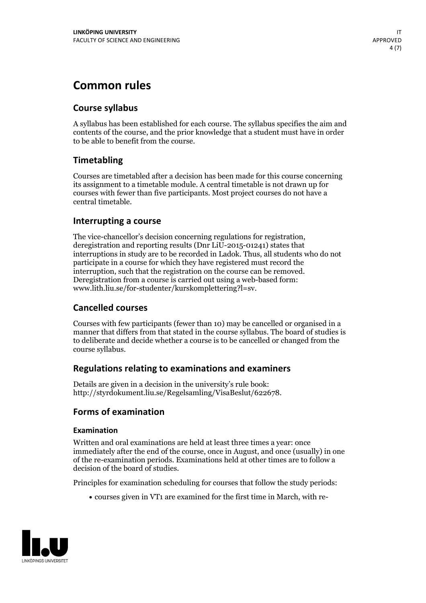# **Common rules**

### **Course syllabus**

A syllabus has been established for each course. The syllabus specifies the aim and contents of the course, and the prior knowledge that a student must have in order to be able to benefit from the course.

### **Timetabling**

Courses are timetabled after a decision has been made for this course concerning its assignment to a timetable module. A central timetable is not drawn up for courses with fewer than five participants. Most project courses do not have a central timetable.

### **Interrupting a course**

The vice-chancellor's decision concerning regulations for registration, deregistration and reporting results (Dnr LiU-2015-01241) states that interruptions in study are to be recorded in Ladok. Thus, all students who do not participate in a course for which they have registered must record the interruption, such that the registration on the course can be removed. Deregistration from <sup>a</sup> course is carried outusing <sup>a</sup> web-based form: www.lith.liu.se/for-studenter/kurskomplettering?l=sv.

### **Cancelled courses**

Courses with few participants (fewer than 10) may be cancelled or organised in a manner that differs from that stated in the course syllabus. The board of studies is to deliberate and decide whether a course is to be cancelled orchanged from the course syllabus.

### **Regulations relatingto examinations and examiners**

Details are given in a decision in the university's rule book: http://styrdokument.liu.se/Regelsamling/VisaBeslut/622678.

### **Forms of examination**

#### **Examination**

Written and oral examinations are held at least three times a year: once immediately after the end of the course, once in August, and once (usually) in one of the re-examination periods. Examinations held at other times are to follow a decision of the board of studies.

Principles for examination scheduling for courses that follow the study periods:

courses given in VT1 are examined for the first time in March, with re-

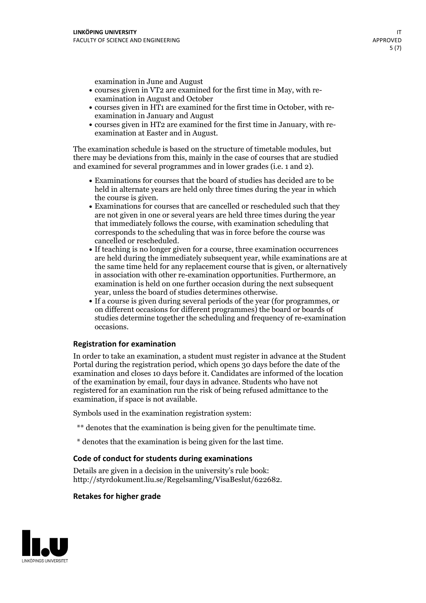examination in June and August

- courses given in VT2 are examined for the first time in May, with re-examination in August and October
- courses given in HT1 are examined for the first time in October, with re-examination in January and August
- courses given in HT2 are examined for the first time in January, with re-examination at Easter and in August.

The examination schedule is based on the structure of timetable modules, but there may be deviations from this, mainly in the case of courses that are studied and examined for several programmes and in lower grades (i.e. 1 and 2).

- Examinations for courses that the board of studies has decided are to be held in alternate years are held only three times during the year in which
- the course is given.<br>• Examinations for courses that are cancelled or rescheduled such that they are not given in one or several years are held three times during the year that immediately follows the course, with examination scheduling that corresponds to the scheduling that was in force before the course was cancelled or rescheduled.<br>• If teaching is no longer given for a course, three examination occurrences
- are held during the immediately subsequent year, while examinations are at the same time held for any replacement course that is given, or alternatively in association with other re-examination opportunities. Furthermore, an examination is held on one further occasion during the next subsequent year, unless the board of studies determines otherwise.<br>• If a course is given during several periods of the year (for programmes, or
- on different occasions for different programmes) the board orboards of studies determine together the scheduling and frequency of re-examination occasions.

#### **Registration for examination**

In order to take an examination, a student must register in advance at the Student Portal during the registration period, which opens 30 days before the date of the examination and closes 10 days before it. Candidates are informed of the location of the examination by email, four days in advance. Students who have not registered for an examination run the risk of being refused admittance to the examination, if space is not available.

Symbols used in the examination registration system:

- \*\* denotes that the examination is being given for the penultimate time.
- \* denotes that the examination is being given for the last time.

#### **Code of conduct for students during examinations**

Details are given in a decision in the university's rule book: http://styrdokument.liu.se/Regelsamling/VisaBeslut/622682.

### **Retakes for higher grade**

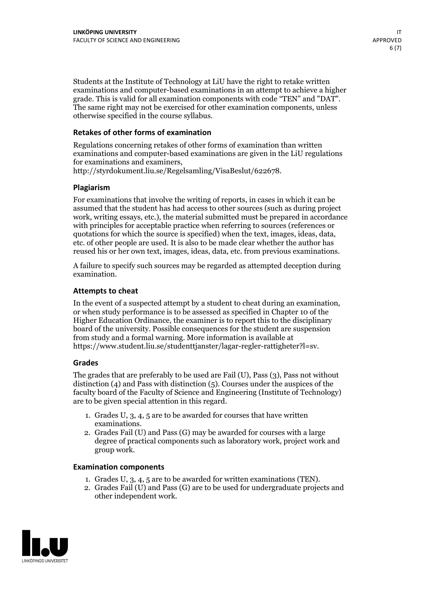Students at the Institute of Technology at LiU have the right to retake written examinations and computer-based examinations in an attempt to achieve a higher grade. This is valid for all examination components with code "TEN" and "DAT". The same right may not be exercised for other examination components, unless otherwise specified in the course syllabus.

### **Retakes of other forms of examination**

Regulations concerning retakes of other forms of examination than written examinations and computer-based examinations are given in the LiU regulations for examinations and examiners, http://styrdokument.liu.se/Regelsamling/VisaBeslut/622678.

#### **Plagiarism**

For examinations that involve the writing of reports, in cases in which it can be assumed that the student has had access to other sources (such as during project work, writing essays, etc.), the material submitted must be prepared in accordance with principles for acceptable practice when referring to sources (references or quotations for which the source is specified) when the text, images, ideas, data, etc. of other people are used. It is also to be made clear whether the author has reused his or her own text, images, ideas, data, etc. from previous examinations.

A failure to specify such sources may be regarded as attempted deception during examination.

#### **Attempts to cheat**

In the event of <sup>a</sup> suspected attempt by <sup>a</sup> student to cheat during an examination, or when study performance is to be assessed as specified in Chapter <sup>10</sup> of the Higher Education Ordinance, the examiner is to report this to the disciplinary board of the university. Possible consequences for the student are suspension from study and a formal warning. More information is available at https://www.student.liu.se/studenttjanster/lagar-regler-rattigheter?l=sv.

#### **Grades**

The grades that are preferably to be used are Fail (U), Pass (3), Pass not without distinction  $(4)$  and Pass with distinction  $(5)$ . Courses under the auspices of the faculty board of the Faculty of Science and Engineering (Institute of Technology) are to be given special attention in this regard.

- 1. Grades U, 3, 4, 5 are to be awarded for courses that have written
- examinations. 2. Grades Fail (U) and Pass (G) may be awarded for courses with <sup>a</sup> large degree of practical components such as laboratory work, project work and group work.

#### **Examination components**

- 
- 1. Grades U, 3, 4, <sup>5</sup> are to be awarded for written examinations (TEN). 2. Grades Fail (U) and Pass (G) are to be used for undergraduate projects and other independent work.